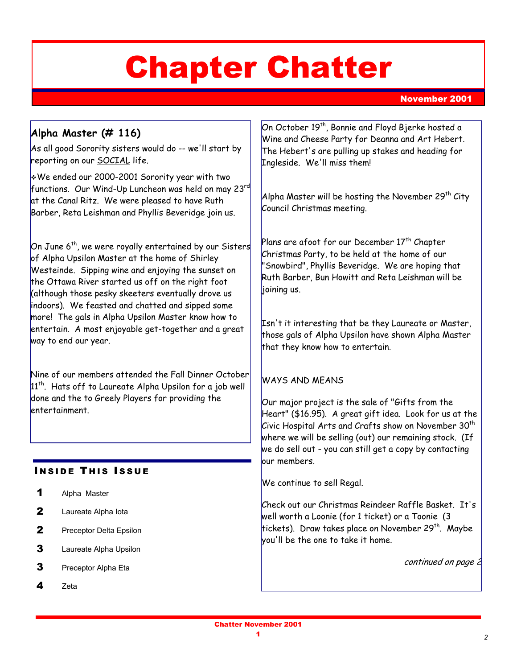# Chapter Chatter

November 2001

# **Alpha Master (# 116)**

As all good Sorority sisters would do -- we'll start by reporting on our SOCIAL life.

!We ended our 2000-2001 Sorority year with two functions. Our Wind-Up Luncheon was held on may 23rd at the Canal Ritz. We were pleased to have Ruth Barber, Reta Leishman and Phyllis Beveridge join us.

On June 6th, we were royally entertained by our Sisters of Alpha Upsilon Master at the home of Shirley Westeinde. Sipping wine and enjoying the sunset on the Ottawa River started us off on the right foot (although those pesky skeeters eventually drove us indoors). We feasted and chatted and sipped some more! The gals in Alpha Upsilon Master know how to entertain. A most enjoyable get-together and a great way to end our year.

Nine of our members attended the Fall Dinner October  $|11^{th}$ . Hats off to Laureate Alpha Upsilon for a job well done and the to Greely Players for providing the entertainment.

# **INSIDE THIS ISSUE**

- 1 Alpha Master
- 2 Laureate Alpha Iota
- 2 Preceptor Delta Epsilon
- **3** Laureate Alpha Upsilon
- 3 Preceptor Alpha Eta
- 4 Zeta

On October 19th, Bonnie and Floyd Bjerke hosted a Wine and Cheese Party for Deanna and Art Hebert. The Hebert's are pulling up stakes and heading for Ingleside. We'll miss them!

Alpha Master will be hosting the November 29<sup>th</sup> City Council Christmas meeting.

Plans are afoot for our December  $17^{\text{th}}$  Chapter Christmas Party, to be held at the home of our "Snowbird", Phyllis Beveridge. We are hoping that Ruth Barber, Bun Howitt and Reta Leishman will be lioining us.

Isn't it interesting that be they Laureate or Master, those gals of Alpha Upsilon have shown Alpha Master that they know how to entertain.

## WAYS AND MEANS

Our major project is the sale of "Gifts from the Heart" (\$16.95). A great gift idea. Look for us at the Civic Hospital Arts and Crafts show on November  $30^{\text{th}}$ where we will be selling (out) our remaining stock. (If we do sell out - you can still get a copy by contacting our members.

We continue to sell Regal.

Check out our Christmas Reindeer Raffle Basket. It's well worth a Loonie (for 1 ticket) or a Toonie (3 tickets). Draw takes place on November 29<sup>th</sup>. Maybe you'll be the one to take it home.

continued on page 2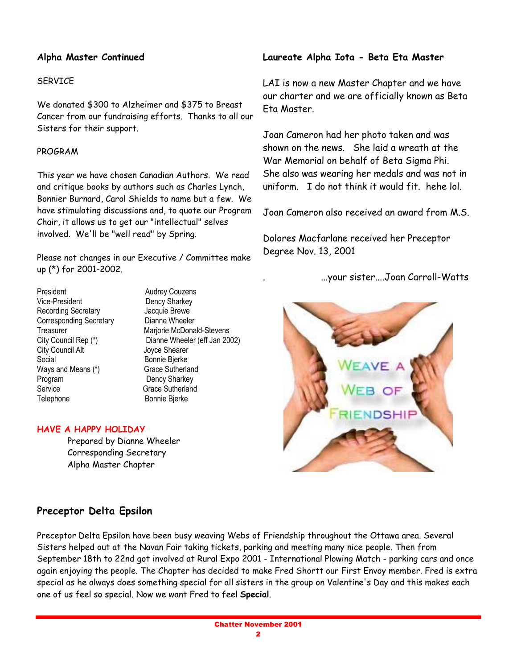## **Alpha Master Continued**

#### **SFRVICE**

We donated \$300 to Alzheimer and \$375 to Breast Cancer from our fundraising efforts. Thanks to all our Sisters for their support.

#### PROGRAM

This year we have chosen Canadian Authors. We read and critique books by authors such as Charles Lynch, Bonnier Burnard, Carol Shields to name but a few. We have stimulating discussions and, to quote our Program Chair, it allows us to get our "intellectual" selves involved. We'll be "well read" by Spring.

Please not changes in our Executive / Committee make up (\*) for 2001-2002.

President Audrey Couzens Vice-President Dency Sharkey Recording Secretary **Calculate Brewe** Corresponding Secretary Dianne Wheeler City Council Alt **Council Alt** Joyce Shearer Social Bonnie Bierke Ways and Means (\*) Grace Sutherland Program Dency Sharkey Service Grace Sutherland Telephone Bonnie Bjerke

Treasurer Marjorie McDonald-Stevens City Council Rep (\*) Dianne Wheeler (eff Jan 2002)

#### **HAVE A HAPPY HOLIDAY**

Prepared by Dianne Wheeler Corresponding Secretary Alpha Master Chapter

## **Laureate Alpha Iota - Beta Eta Master**

LAI is now a new Master Chapter and we have our charter and we are officially known as Beta Eta Master.

Joan Cameron had her photo taken and was shown on the news. She laid a wreath at the War Memorial on behalf of Beta Sigma Phi. She also was wearing her medals and was not in uniform. I do not think it would fit. hehe lol.

Joan Cameron also received an award from M.S.

Dolores Macfarlane received her Preceptor Degree Nov. 13, 2001

. ...your sister....Joan Carroll-Watts



# **Preceptor Delta Epsilon**

Preceptor Delta Epsilon have been busy weaving Webs of Friendship throughout the Ottawa area. Several Sisters helped out at the Navan Fair taking tickets, parking and meeting many nice people. Then from September 18th to 22nd got involved at Rural Expo 2001 - International Plowing Match - parking cars and once again enjoying the people. The Chapter has decided to make Fred Shortt our First Envoy member. Fred is extra special as he always does something special for all sisters in the group on Valentine's Day and this makes each one of us feel so special. Now we want Fred to feel **Special**.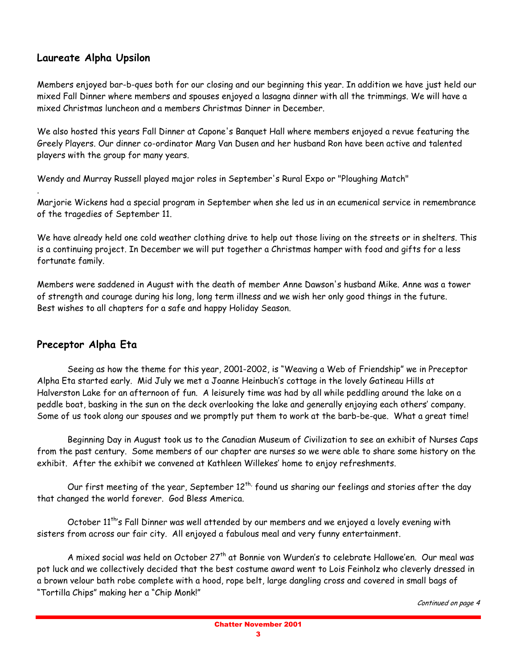# **Laureate Alpha Upsilon**

Members enjoyed bar-b-ques both for our closing and our beginning this year. In addition we have just held our mixed Fall Dinner where members and spouses enjoyed a lasagna dinner with all the trimmings. We will have a mixed Christmas luncheon and a members Christmas Dinner in December.

We also hosted this years Fall Dinner at Capone's Banquet Hall where members enjoyed a revue featuring the Greely Players. Our dinner co-ordinator Marg Van Dusen and her husband Ron have been active and talented players with the group for many years.

Wendy and Murray Russell played major roles in September's Rural Expo or "Ploughing Match"

Marjorie Wickens had a special program in September when she led us in an ecumenical service in remembrance of the tragedies of September 11.

We have already held one cold weather clothing drive to help out those living on the streets or in shelters. This is a continuing project. In December we will put together a Christmas hamper with food and gifts for a less fortunate family.

Members were saddened in August with the death of member Anne Dawson's husband Mike. Anne was a tower of strength and courage during his long, long term illness and we wish her only good things in the future. Best wishes to all chapters for a safe and happy Holiday Season.

# **Preceptor Alpha Eta**

.

Seeing as how the theme for this year, 2001-2002, is "Weaving a Web of Friendship" we in Preceptor Alpha Eta started early. Mid July we met a Joanne Heinbuch's cottage in the lovely Gatineau Hills at Halverston Lake for an afternoon of fun. A leisurely time was had by all while peddling around the lake on a peddle boat, basking in the sun on the deck overlooking the lake and generally enjoying each others' company. Some of us took along our spouses and we promptly put them to work at the barb-be-que. What a great time!

Beginning Day in August took us to the Canadian Museum of Civilization to see an exhibit of Nurses Caps from the past century. Some members of our chapter are nurses so we were able to share some history on the exhibit. After the exhibit we convened at Kathleen Willekes' home to enjoy refreshments.

Our first meeting of the year, September  $12^{th}$ , found us sharing our feelings and stories after the day that changed the world forever. God Bless America.

October 11<sup>th</sup>'s Fall Dinner was well attended by our members and we enjoyed a lovely evening with sisters from across our fair city. All enjoyed a fabulous meal and very funny entertainment.

A mixed social was held on October 27<sup>th</sup> at Bonnie von Wurden's to celebrate Hallowe'en. Our meal was pot luck and we collectively decided that the best costume award went to Lois Feinholz who cleverly dressed in a brown velour bath robe complete with a hood, rope belt, large dangling cross and covered in small bags of "Tortilla Chips" making her a "Chip Monk!"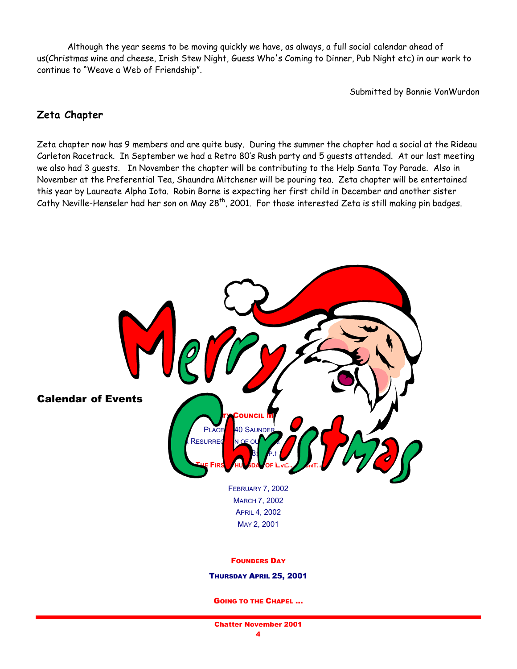Although the year seems to be moving quickly we have, as always, a full social calendar ahead of us(Christmas wine and cheese, Irish Stew Night, Guess Who's Coming to Dinner, Pub Night etc) in our work to continue to "Weave a Web of Friendship".

Submitted by Bonnie VonWurdon

# **Zeta Chapter**

Zeta chapter now has 9 members and are quite busy. During the summer the chapter had a social at the Rideau Carleton Racetrack. In September we had a Retro 80ís Rush party and 5 guests attended. At our last meeting we also had 3 guests. In November the chapter will be contributing to the Help Santa Toy Parade. Also in November at the Preferential Tea, Shaundra Mitchener will be pouring tea. Zeta chapter will be entertained this year by Laureate Alpha Iota. Robin Borne is expecting her first child in December and another sister Cathy Neville-Henseler had her son on May 28<sup>th</sup>, 2001. For those interested Zeta is still making pin badges.



GOING TO THE CHAPEL ...